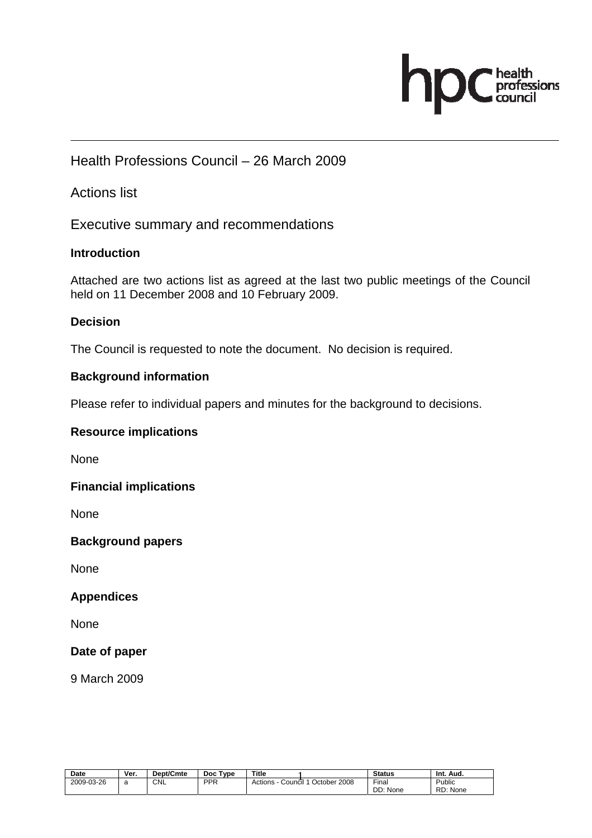## professions

#### Health Professions Council – 26 March 2009

#### Actions list

Executive summary and recommendations

#### **Introduction**

Attached are two actions list as agreed at the last two public meetings of the Council held on 11 December 2008 and 10 February 2009.

#### **Decision**

The Council is requested to note the document. No decision is required.

#### **Background information**

Please refer to individual papers and minutes for the background to decisions.

#### **Resource implications**

None

#### **Financial implications**

None

#### **Background papers**

None

#### **Appendices**

None

#### **Date of paper**

9 March 2009

| Date       | Ver. | <b>Dept/Cmte</b> | <b>Type</b><br>Doc | Title              |              | <b>Status</b>                  | Int.<br>Aud.       |
|------------|------|------------------|--------------------|--------------------|--------------|--------------------------------|--------------------|
| 2009-03-26 | с    | CNL              | <b>PPR</b>         | Actions<br>Council | October 2008 | $- \cdot$<br>Final<br>DD: None | Public<br>RD: None |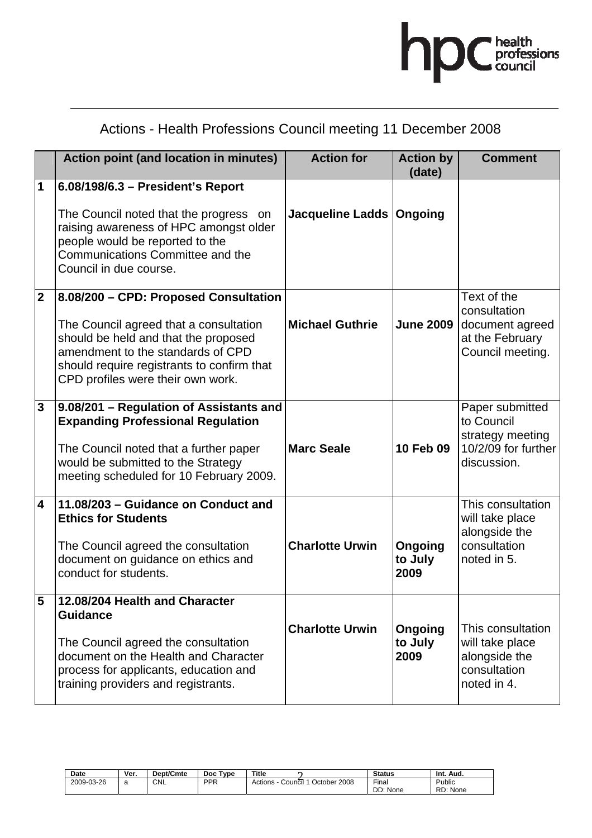

### Actions - Health Professions Council meeting 11 December 2008

|                         | <b>Action point (and location in minutes)</b>                                                                                                                                                                                                   | <b>Action for</b>          | <b>Action by</b><br>(date) | <b>Comment</b>                                                                          |
|-------------------------|-------------------------------------------------------------------------------------------------------------------------------------------------------------------------------------------------------------------------------------------------|----------------------------|----------------------------|-----------------------------------------------------------------------------------------|
| 1                       | 6.08/198/6.3 - President's Report<br>The Council noted that the progress on<br>raising awareness of HPC amongst older<br>people would be reported to the<br>Communications Committee and the<br>Council in due course.                          | Jacqueline Ladds   Ongoing |                            |                                                                                         |
| $\overline{2}$          | 8.08/200 - CPD: Proposed Consultation<br>The Council agreed that a consultation<br>should be held and that the proposed<br>amendment to the standards of CPD<br>should require registrants to confirm that<br>CPD profiles were their own work. | <b>Michael Guthrie</b>     | <b>June 2009</b>           | Text of the<br>consultation<br>document agreed<br>at the February<br>Council meeting.   |
| 3                       | 9.08/201 - Regulation of Assistants and<br><b>Expanding Professional Regulation</b><br>The Council noted that a further paper<br>would be submitted to the Strategy<br>meeting scheduled for 10 February 2009.                                  | <b>Marc Seale</b>          | 10 Feb 09                  | Paper submitted<br>to Council<br>strategy meeting<br>10/2/09 for further<br>discussion. |
| $\overline{\mathbf{4}}$ | 11.08/203 - Guidance on Conduct and<br><b>Ethics for Students</b><br>The Council agreed the consultation<br>document on guidance on ethics and<br>conduct for students.                                                                         | <b>Charlotte Urwin</b>     | Ongoing<br>to July<br>2009 | This consultation<br>will take place<br>alongside the<br>consultation<br>noted in 5.    |
| 5                       | 12.08/204 Health and Character<br><b>Guidance</b><br>The Council agreed the consultation<br>document on the Health and Character<br>process for applicants, education and<br>training providers and registrants.                                | <b>Charlotte Urwin</b>     | Ongoing<br>to July<br>2009 | This consultation<br>will take place<br>alongside the<br>consultation<br>noted in 4.    |

| <b>Date</b> | Ver. | Dept/Cmte | Type<br><b>Doc</b> | <b>Title</b>                       | <b>Status</b>               | Aud.<br>Int.       |
|-------------|------|-----------|--------------------|------------------------------------|-----------------------------|--------------------|
| 2009-03-26  | ч    | CNL       | <b>PPR</b>         | October 2008<br>Actions<br>Council | $-$<br>Final<br>DD:<br>None | Public<br>RD: None |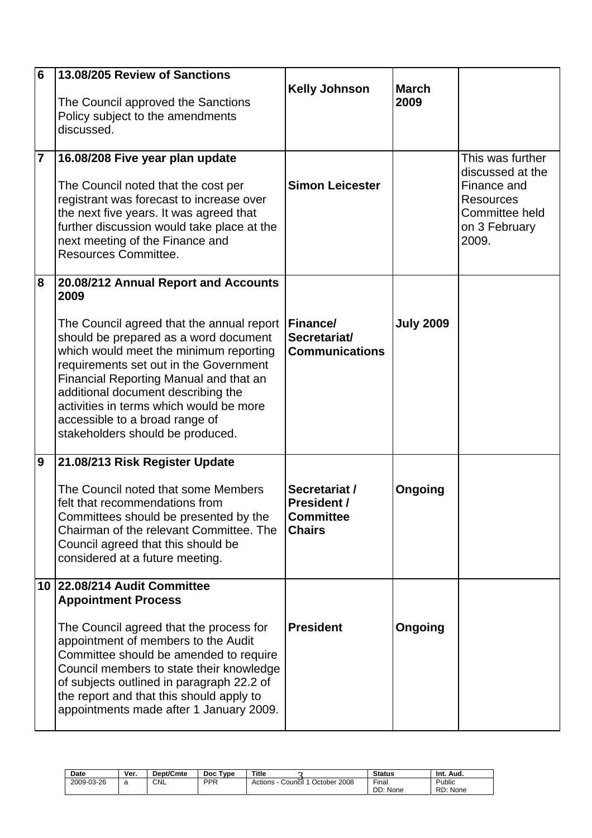| 6<br>7 | 13.08/205 Review of Sanctions<br>The Council approved the Sanctions<br>Policy subject to the amendments<br>discussed.<br>16.08/208 Five year plan update<br>The Council noted that the cost per<br>registrant was forecast to increase over<br>the next five years. It was agreed that<br>further discussion would take place at the<br>next meeting of the Finance and<br>Resources Committee.                         | <b>Kelly Johnson</b><br><b>Simon Leicester</b>                           | <b>March</b><br>2009 | This was further<br>discussed at the<br>Finance and<br><b>Resources</b><br>Committee held<br>on 3 February<br>2009. |
|--------|-------------------------------------------------------------------------------------------------------------------------------------------------------------------------------------------------------------------------------------------------------------------------------------------------------------------------------------------------------------------------------------------------------------------------|--------------------------------------------------------------------------|----------------------|---------------------------------------------------------------------------------------------------------------------|
| 8      | 20.08/212 Annual Report and Accounts<br>2009<br>The Council agreed that the annual report<br>should be prepared as a word document<br>which would meet the minimum reporting<br>requirements set out in the Government<br>Financial Reporting Manual and that an<br>additional document describing the<br>activities in terms which would be more<br>accessible to a broad range of<br>stakeholders should be produced. | Finance/<br>Secretariat/<br><b>Communications</b>                        | <b>July 2009</b>     |                                                                                                                     |
| 9      | 21.08/213 Risk Register Update<br>The Council noted that some Members<br>felt that recommendations from<br>Committees should be presented by the<br>Chairman of the relevant Committee. The<br>Council agreed that this should be<br>considered at a future meeting.                                                                                                                                                    | Secretariat /<br><b>President /</b><br><b>Committee</b><br><b>Chairs</b> | Ongoing              |                                                                                                                     |
|        | 10 22.08/214 Audit Committee<br><b>Appointment Process</b><br>The Council agreed that the process for<br>appointment of members to the Audit<br>Committee should be amended to require<br>Council members to state their knowledge<br>of subjects outlined in paragraph 22.2 of<br>the report and that this should apply to<br>appointments made after 1 January 2009.                                                  | <b>President</b>                                                         | Ongoing              |                                                                                                                     |

| Date       | Ver. | <b>Dept/Cmte</b> | <b>Doc</b><br>Tvoe | Title                                | <b>Status</b>          | Int.<br>Aud.          |
|------------|------|------------------|--------------------|--------------------------------------|------------------------|-----------------------|
| 2009-03-26 | ີ    | CNL              | <b>PPR</b>         | October 2008<br>Actions<br>Council 1 | Final<br>DD:<br>: None | Public<br>RD:<br>None |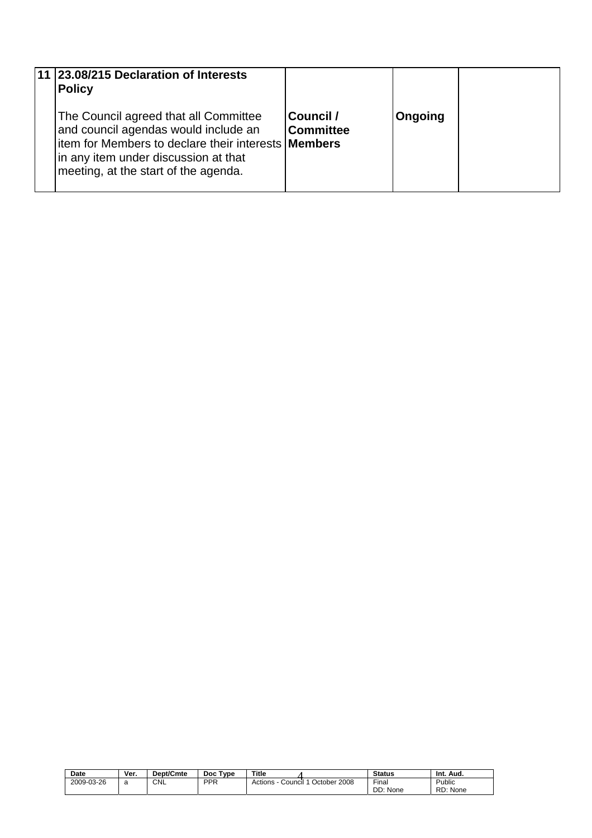|  | 11 23.08/215 Declaration of Interests<br><b>Policy</b>                                                                                                                                                                       |                               |         |  |
|--|------------------------------------------------------------------------------------------------------------------------------------------------------------------------------------------------------------------------------|-------------------------------|---------|--|
|  | The Council agreed that all Committee<br>and council agendas would include an<br>litem for Members to declare their interests <b>Members</b><br>in any item under discussion at that<br>meeting, at the start of the agenda. | Council /<br><b>Committee</b> | Ongoing |  |

| Date       | Ver. | Dept/Cmte  | <b>Type</b><br><b>Doc</b> | <b>Title</b>                       | <b>Status</b> | Int.<br>Aud.  |
|------------|------|------------|---------------------------|------------------------------------|---------------|---------------|
| 2009-03-26 | ີ    | <b>CNL</b> | <b>PPR</b>                | October 2008<br>Actions<br>Council | Final         | Public        |
|            |      |            |                           |                                    | DD: None      | RD:<br>: None |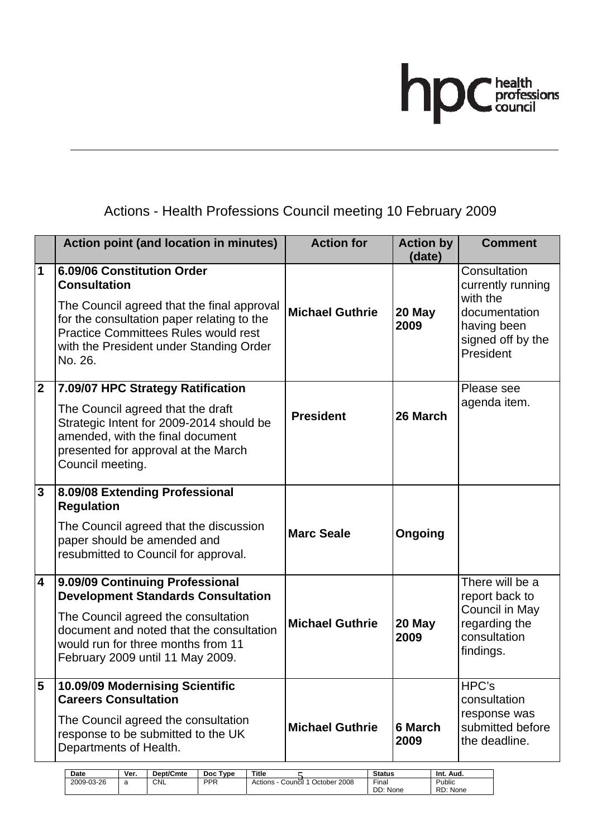# hpC health<br>council

#### Actions - Health Professions Council meeting 10 February 2009

|                         | <b>Action point (and location in minutes)</b>                                                                                                                                                                                                      | <b>Action for</b>                       | <b>Action by</b><br>(date)          | <b>Comment</b>                                                                                                  |
|-------------------------|----------------------------------------------------------------------------------------------------------------------------------------------------------------------------------------------------------------------------------------------------|-----------------------------------------|-------------------------------------|-----------------------------------------------------------------------------------------------------------------|
| $\mathbf 1$             | 6.09/06 Constitution Order<br><b>Consultation</b><br>The Council agreed that the final approval<br>for the consultation paper relating to the<br><b>Practice Committees Rules would rest</b><br>with the President under Standing Order<br>No. 26. | <b>Michael Guthrie</b>                  | 20 May<br>2009                      | Consultation<br>currently running<br>with the<br>documentation<br>having been<br>signed off by the<br>President |
| $\mathbf{2}$            | 7.09/07 HPC Strategy Ratification<br>The Council agreed that the draft<br>Strategic Intent for 2009-2014 should be<br>amended, with the final document<br>presented for approval at the March<br>Council meeting.                                  | <b>President</b>                        | 26 March                            | Please see<br>agenda item.                                                                                      |
| $\mathbf{3}$            | 8.09/08 Extending Professional<br><b>Regulation</b><br>The Council agreed that the discussion<br>paper should be amended and<br>resubmitted to Council for approval.                                                                               | <b>Marc Seale</b>                       | Ongoing                             |                                                                                                                 |
| $\overline{\mathbf{4}}$ | 9.09/09 Continuing Professional<br><b>Development Standards Consultation</b><br>The Council agreed the consultation<br>document and noted that the consultation<br>would run for three months from 11<br>February 2009 until 11 May 2009.          | <b>Michael Guthrie</b>                  | 20 May<br>2009                      | There will be a<br>report back to<br>Council in May<br>regarding the<br>consultation<br>findings.               |
| 5                       | 10.09/09 Modernising Scientific<br><b>Careers Consultation</b><br>The Council agreed the consultation<br>response to be submitted to the UK<br>Departments of Health.<br>Dept/Cmte<br>Doc Type<br>Date<br>Ver.<br>Title                            | <b>Michael Guthrie</b><br><b>Status</b> | <b>6 March</b><br>2009<br>Int. Aud. | HPC's<br>consultation<br>response was<br>submitted before<br>the deadline.                                      |

DD: None

RD: None